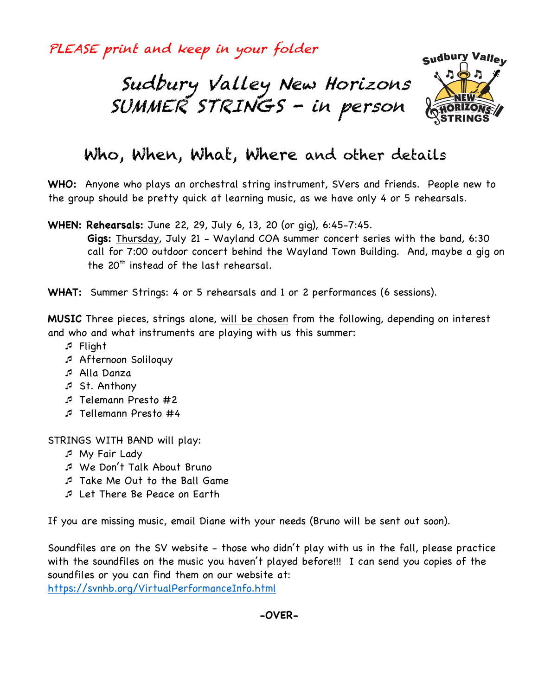PLEASE print and keep in your folder





# Who, When, What, Where and other details

**WHO:** Anyone who plays an orchestral string instrument, SVers and friends. People new to the group should be pretty quick at learning music, as we have only 4 or 5 rehearsals.

**WHEN: Rehearsals:** June 22, 29, July 6, 13, 20 (or gig), 6:45-7:45.

**Gigs:** Thursday, July 21 - Wayland COA summer concert series with the band, 6:30 call for 7:00 outdoor concert behind the Wayland Town Building. And, maybe a gig on the 20<sup>th</sup> instead of the last rehearsal.

**WHAT:** Summer Strings: 4 or 5 rehearsals and 1 or 2 performances (6 sessions).

**MUSIC** Three pieces, strings alone, will be chosen from the following, depending on interest and who and what instruments are playing with us this summer:

- ¯ Flight
- ¯ Afternoon Soliloquy
- ¯ Alla Danza
- ¯ St. Anthony
- ¯ Telemann Presto #2
- ¯ Tellemann Presto #4

STRINGS WITH BAND will play:

- ¯ My Fair Lady
- ¯ We Don't Talk About Bruno
- ¯ Take Me Out to the Ball Game
- ¯ Let There Be Peace on Earth

If you are missing music, email Diane with your needs (Bruno will be sent out soon).

Soundfiles are on the SV website - those who didn't play with us in the fall, please practice with the soundfiles on the music you haven't played before!!! I can send you copies of the soundfiles or you can find them on our website at:

https://svnhb.org/VirtualPerformanceInfo.html

**-OVER-**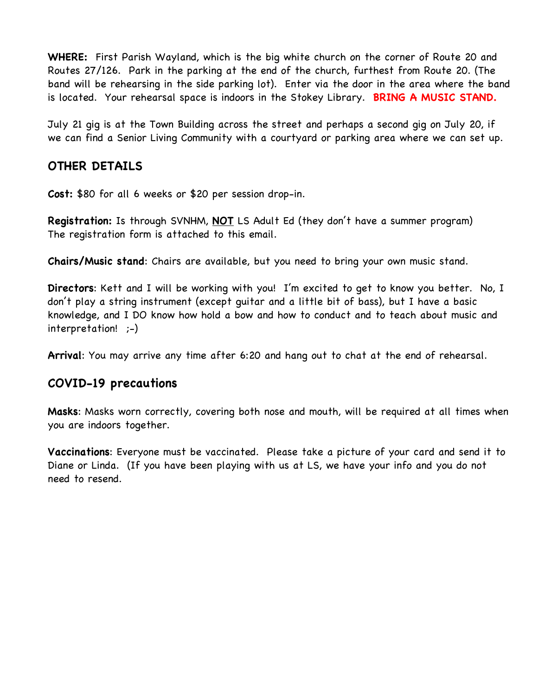**WHERE:** First Parish Wayland, which is the big white church on the corner of Route 20 and Routes 27/126. Park in the parking at the end of the church, furthest from Route 20. (The band will be rehearsing in the side parking lot). Enter via the door in the area where the band is located. Your rehearsal space is indoors in the Stokey Library. **BRING A MUSIC STAND.**

July 21 gig is at the Town Building across the street and perhaps a second gig on July 20, if we can find a Senior Living Community with a courtyard or parking area where we can set up.

### **OTHER DETAILS**

**Cost:** \$80 for all 6 weeks or \$20 per session drop-in.

**Registration:** Is through SVNHM, **NOT** LS Adult Ed (they don't have a summer program) The registration form is attached to this email.

**Chairs/Music stand**: Chairs are available, but you need to bring your own music stand.

**Directors**: Kett and I will be working with you! I'm excited to get to know you better. No, I don't play a string instrument (except guitar and a little bit of bass), but I have a basic knowledge, and I DO know how hold a bow and how to conduct and to teach about music and interpretation! ;-)

**Arrival**: You may arrive any time after 6:20 and hang out to chat at the end of rehearsal.

### **COVID-19 precautions**

**Masks**: Masks worn correctly, covering both nose and mouth, will be required at all times when you are indoors together.

**Vaccinations**: Everyone must be vaccinated. Please take a picture of your card and send it to Diane or Linda. (If you have been playing with us at LS, we have your info and you do not need to resend.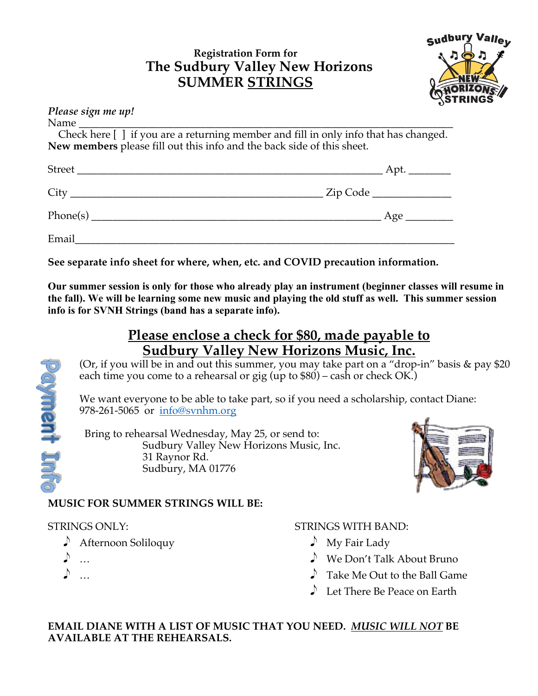## **Registration Form for The Sudbury Valley New Horizons SUMMER STRINGS**



| Please sign me up!                                                                                                                                                                                                            |                                                                                     |
|-------------------------------------------------------------------------------------------------------------------------------------------------------------------------------------------------------------------------------|-------------------------------------------------------------------------------------|
|                                                                                                                                                                                                                               |                                                                                     |
|                                                                                                                                                                                                                               | Check here [] if you are a returning member and fill in only info that has changed. |
| New members please fill out this info and the back side of this sheet.                                                                                                                                                        |                                                                                     |
|                                                                                                                                                                                                                               |                                                                                     |
|                                                                                                                                                                                                                               | __ Zip Code _______________                                                         |
|                                                                                                                                                                                                                               |                                                                                     |
| Email and the state of the state of the state of the state of the state of the state of the state of the state of the state of the state of the state of the state of the state of the state of the state of the state of the |                                                                                     |

**See separate info sheet for where, when, etc. and COVID precaution information.**

**Our summer session is only for those who already play an instrument (beginner classes will resume in the fall). We will be learning some new music and playing the old stuff as well. This summer session info is for SVNH Strings (band has a separate info).**

## **Please enclose a check for \$80, made payable to Sudbury Valley New Horizons Music, Inc.**

(Or, if you will be in and out this summer, you may take part on a "drop-in" basis & pay \$20 each time you come to a rehearsal or gig (up to  $$80$ ) – cash or check OK.)

We want everyone to be able to take part, so if you need a scholarship, contact Diane: 978-261-5065 or info@svnhm.org

 Bring to rehearsal Wednesday, May 25, or send to: Sudbury Valley New Horizons Music, Inc. 31 Raynor Rd. Sudbury, MA 01776



### **MUSIC FOR SUMMER STRINGS WILL BE:**

### STRINGS ONLY:

- e Afternoon Soliloquy
- $\ddotsc$

**Poyment Int** 

 $\Box$ ...

### STRINGS WITH BAND:

- $\bigwedge$  My Fair Lady
- $\triangle$  We Don't Talk About Bruno
- $\triangle$  Take Me Out to the Ball Game
- $\Box$  Let There Be Peace on Earth

**EMAIL DIANE WITH A LIST OF MUSIC THAT YOU NEED.** *MUSIC WILL NOT* **BE AVAILABLE AT THE REHEARSALS.**